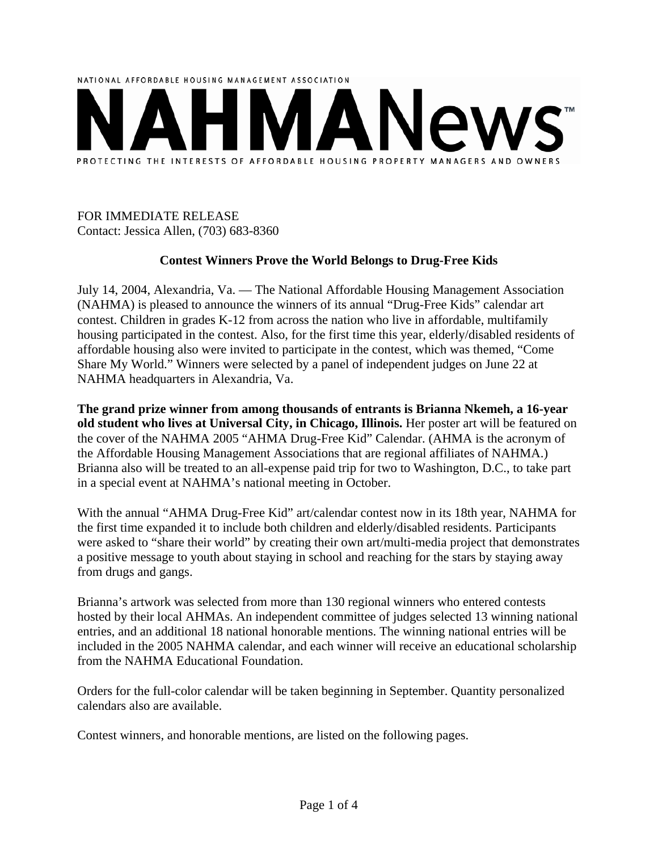

# FOR IMMEDIATE RELEASE Contact: Jessica Allen, (703) 683-8360

## **Contest Winners Prove the World Belongs to Drug-Free Kids**

July 14, 2004, Alexandria, Va. — The National Affordable Housing Management Association (NAHMA) is pleased to announce the winners of its annual "Drug-Free Kids" calendar art contest. Children in grades K-12 from across the nation who live in affordable, multifamily housing participated in the contest. Also, for the first time this year, elderly/disabled residents of affordable housing also were invited to participate in the contest, which was themed, "Come Share My World." Winners were selected by a panel of independent judges on June 22 at NAHMA headquarters in Alexandria, Va.

**The grand prize winner from among thousands of entrants is Brianna Nkemeh, a 16-year old student who lives at Universal City, in Chicago, Illinois.** Her poster art will be featured on the cover of the NAHMA 2005 "AHMA Drug-Free Kid" Calendar. (AHMA is the acronym of the Affordable Housing Management Associations that are regional affiliates of NAHMA.) Brianna also will be treated to an all-expense paid trip for two to Washington, D.C., to take part in a special event at NAHMA's national meeting in October.

With the annual "AHMA Drug-Free Kid" art/calendar contest now in its 18th year, NAHMA for the first time expanded it to include both children and elderly/disabled residents. Participants were asked to "share their world" by creating their own art/multi-media project that demonstrates a positive message to youth about staying in school and reaching for the stars by staying away from drugs and gangs.

Brianna's artwork was selected from more than 130 regional winners who entered contests hosted by their local AHMAs. An independent committee of judges selected 13 winning national entries, and an additional 18 national honorable mentions. The winning national entries will be included in the 2005 NAHMA calendar, and each winner will receive an educational scholarship from the NAHMA Educational Foundation.

Orders for the full-color calendar will be taken beginning in September. Quantity personalized calendars also are available.

Contest winners, and honorable mentions, are listed on the following pages.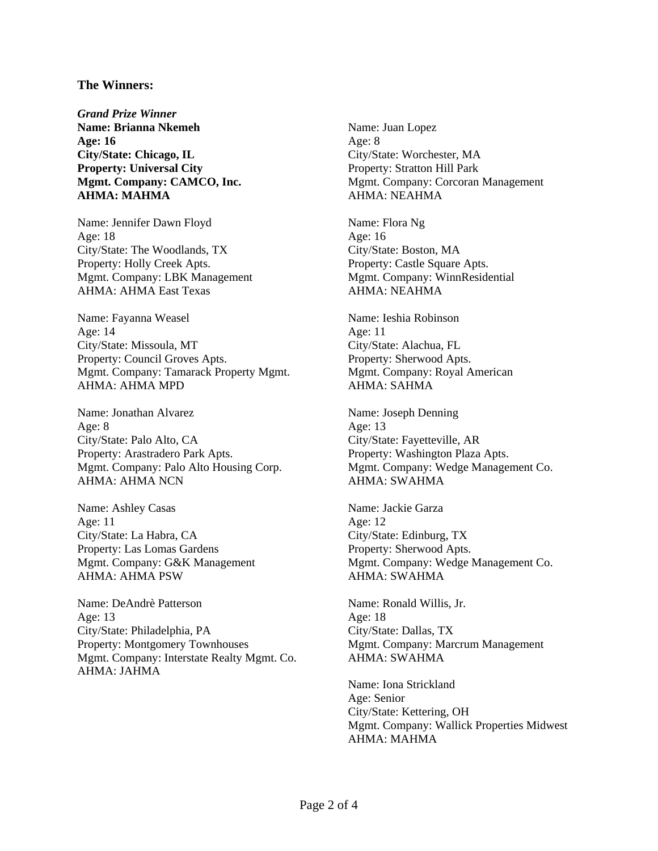#### **The Winners:**

*Grand Prize Winner*  **Name: Brianna Nkemeh Age: 16 City/State: Chicago, IL Property: Universal City Mgmt. Company: CAMCO, Inc. AHMA: MAHMA** 

Name: Jennifer Dawn Floyd Age: 18 City/State: The Woodlands, TX Property: Holly Creek Apts. Mgmt. Company: LBK Management AHMA: AHMA East Texas

Name: Fayanna Weasel Age: 14 City/State: Missoula, MT Property: Council Groves Apts. Mgmt. Company: Tamarack Property Mgmt. AHMA: AHMA MPD

Name: Jonathan Alvarez Age: 8 City/State: Palo Alto, CA Property: Arastradero Park Apts. Mgmt. Company: Palo Alto Housing Corp. AHMA: AHMA NCN

Name: Ashley Casas Age: 11 City/State: La Habra, CA Property: Las Lomas Gardens Mgmt. Company: G&K Management AHMA: AHMA PSW

Name: DeAndrè Patterson Age: 13 City/State: Philadelphia, PA Property: Montgomery Townhouses Mgmt. Company: Interstate Realty Mgmt. Co. AHMA: JAHMA

Name: Juan Lopez Age: 8 City/State: Worchester, MA Property: Stratton Hill Park Mgmt. Company: Corcoran Management AHMA: NEAHMA

Name: Flora Ng Age: 16 City/State: Boston, MA Property: Castle Square Apts. Mgmt. Company: WinnResidential AHMA: NEAHMA

Name: Ieshia Robinson Age: 11 City/State: Alachua, FL Property: Sherwood Apts. Mgmt. Company: Royal American AHMA: SAHMA

Name: Joseph Denning Age: 13 City/State: Fayetteville, AR Property: Washington Plaza Apts. Mgmt. Company: Wedge Management Co. AHMA: SWAHMA

Name: Jackie Garza Age: 12 City/State: Edinburg, TX Property: Sherwood Apts. Mgmt. Company: Wedge Management Co. AHMA: SWAHMA

Name: Ronald Willis, Jr. Age: 18 City/State: Dallas, TX Mgmt. Company: Marcrum Management AHMA: SWAHMA

Name: Iona Strickland Age: Senior City/State: Kettering, OH Mgmt. Company: Wallick Properties Midwest AHMA: MAHMA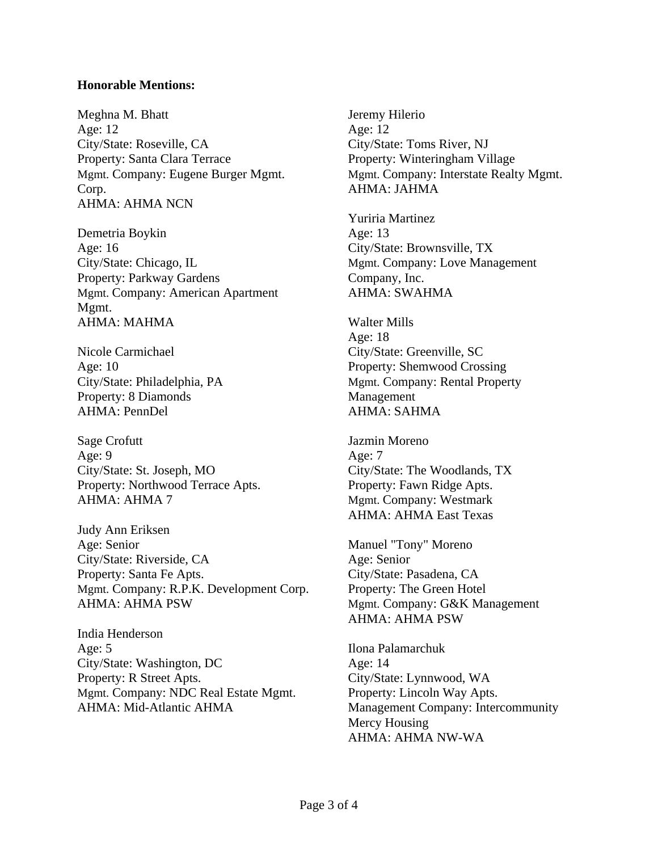### **Honorable Mentions:**

Meghna M. Bhatt Age: 12 City/State: Roseville, CA Property: Santa Clara Terrace Mgmt. Company: Eugene Burger Mgmt. Corp. AHMA: AHMA NCN

Demetria Boykin Age: 16 City/State: Chicago, IL Property: Parkway Gardens Mgmt. Company: American Apartment Mgmt. AHMA: MAHMA

Nicole Carmichael Age: 10 City/State: Philadelphia, PA Property: 8 Diamonds AHMA: PennDel

Sage Crofutt Age: 9 City/State: St. Joseph, MO Property: Northwood Terrace Apts. AHMA: AHMA 7

Judy Ann Eriksen Age: Senior City/State: Riverside, CA Property: Santa Fe Apts. Mgmt. Company: R.P.K. Development Corp. AHMA: AHMA PSW

India Henderson Age: 5 City/State: Washington, DC Property: R Street Apts. Mgmt. Company: NDC Real Estate Mgmt. AHMA: Mid-Atlantic AHMA

Jeremy Hilerio Age: 12 City/State: Toms River, NJ Property: Winteringham Village Mgmt. Company: Interstate Realty Mgmt. AHMA: JAHMA

Yuriria Martinez Age: 13 City/State: Brownsville, TX Mgmt. Company: Love Management Company, Inc. AHMA: SWAHMA

Walter Mills Age: 18 City/State: Greenville, SC Property: Shemwood Crossing Mgmt. Company: Rental Property Management AHMA: SAHMA

Jazmin Moreno Age: 7 City/State: The Woodlands, TX Property: Fawn Ridge Apts. Mgmt. Company: Westmark AHMA: AHMA East Texas

Manuel "Tony" Moreno Age: Senior City/State: Pasadena, CA Property: The Green Hotel Mgmt. Company: G&K Management AHMA: AHMA PSW

Ilona Palamarchuk Age: 14 City/State: Lynnwood, WA Property: Lincoln Way Apts. Management Company: Intercommunity Mercy Housing AHMA: AHMA NW-WA